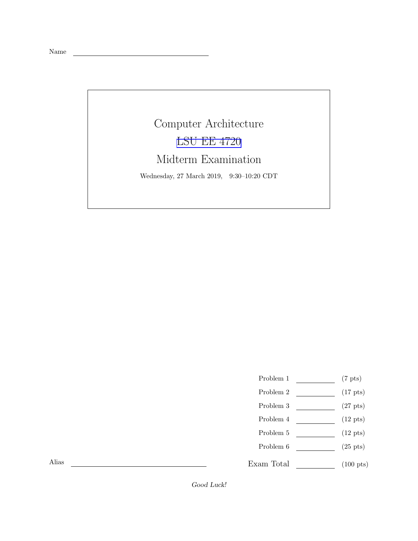Name

## Computer Architecture [LSU EE 4720](https://www.ece.lsu.edu/ee4720/) Midterm Examination Wednesday, 27 March 2019, 9:30–10:20 CDT

<u> 1980 - Johann Barbara, martxa al</u>

- Problem 1  $\qquad \qquad$  (7 pts)
- Problem 2  $\qquad \qquad$  (17 pts)
- Problem 3  $\qquad \qquad (27 \text{ pts})$
- Problem 4  $\qquad \qquad$  (12 pts)
- Problem 5  $\qquad \qquad (12 \text{ pts})$
- Problem  $6 \sim$  (25 pts)

 $\begin{tabular}{l} Exam Total \end{tabular} \begin{tabular}{c} \hspace{0.2cm} \textbf{(100 pts)} \end{tabular}$ 

Alias

Good Luck!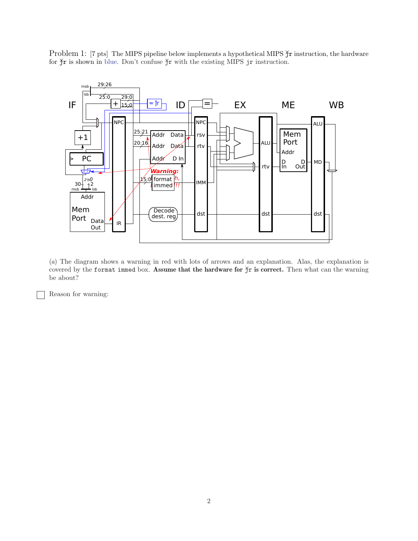Problem 1: [7 pts] The MIPS pipeline below implements a hypothetical MIPS  $\frac{X}{Y}$  instruction, the hardware for  $\check{\gamma}$ r is shown in blue. Don't confuse  $\check{\gamma}$ r with the existing MIPS jr instruction.



(a) The diagram shows a warning in red with lots of arrows and an explanation. Alas, the explanation is covered by the format immed box. Assume that the hardware for  $\frac{1}{2}r$  is correct. Then what can the warning be about?

Reason for warning: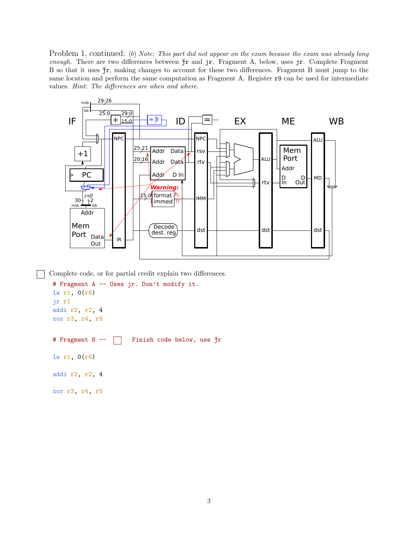Problem 1, continued: (b) Note: This part did not appear on the exam because the exam was already long enough. There are two differences between  $\check{\uparrow}$ r and jr. Fragment A, below, uses jr. Complete Fragment B so that it uses  $\check{\gamma}$ r, making changes to account for these two differences. Fragment B must jump to the same location and perform the same computation as Fragment A. Register r9 can be used for intermediate values. Hint: The differences are when and where.



Complete code, or for partial credit explain two differences.

```
# Fragment A -- Uses jr. Don't modify it.
lw r1, 0(r6)
jr r1
addi r2, r2, 4
xor r3, r4, r5
# Fragment B -- Finish code below, use \text{Tr}lw r1, 0(r6)
addi r2, r2, 4
xor r3, r4, r5
```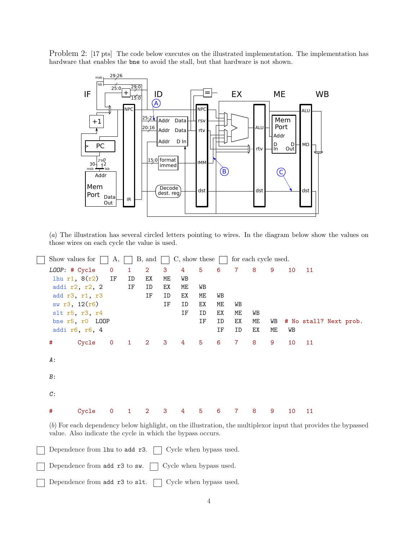Problem 2: [17 pts] The code below executes on the illustrated implementation. The implementation has hardware that enables the bne to avoid the stall, but that hardware is not shown.



(a) The illustration has several circled letters pointing to wires. In the diagram below show the values on those wires on each cycle the value is used.

```
Show values for \Box A, \Box B, and \Box C, show these \Box for each cycle used.
LOOP: # Cycle 0 1 2 3 4 5 6 7 8 9 10 11
lhu r1, 8(r2) IF ID EX ME WB
addi r2, r2, 2 IF ID EX ME WB
add r3, r1, r3 IF ID EX ME WB
sw r3, 12(r6) IF ID EX ME WB
slt r5, r3, r4 IF ID EX ME WB
bne r5, r0 LOOP 1992 1993 IF ID EX ME WB # No stall? Next prob.
addi r6, r6, 4 IF ID EX ME WB
# Cycle 0 1 2 3 4 5 6 7 8 9 10 11
A:
B:
C:
# Cycle 0 1 2 3 4 5 6 7 8 9 10 11
```
(b) For each dependency below highlight, on the illustration, the multiplexor input that provides the bypassed value. Also indicate the cycle in which the bypass occurs.

Dependence from  $\text{1hu}$  to add  $\text{r3.}$  Cycle when bypass used.

| Dependence from add r3 to sw. | Cycle when bypass used. |
|-------------------------------|-------------------------|
|-------------------------------|-------------------------|

Dependence from add  $r3$  to slt.  $\Box$  Cycle when bypass used.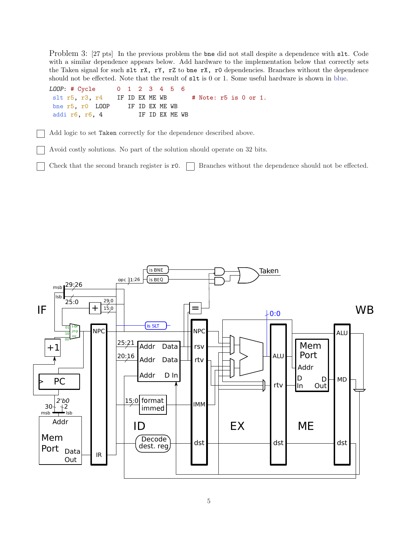Problem 3: [27 pts] In the previous problem the bne did not stall despite a dependence with slt. Code with a similar dependence appears below. Add hardware to the implementation below that correctly sets the Taken signal for such slt rX, rY, rZ to bne rX, r0 dependencies. Branches without the dependence should not be effected. Note that the result of slt is 0 or 1. Some useful hardware is shown in blue.



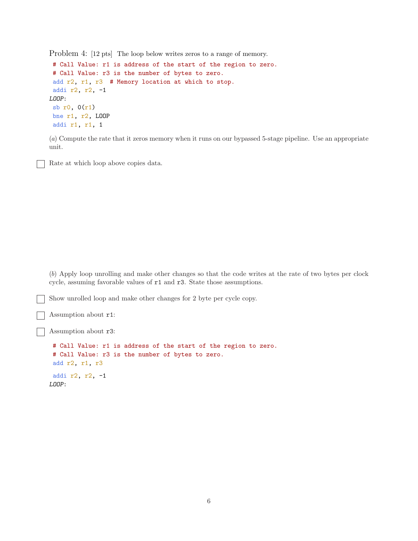Problem 4: [12 pts] The loop below writes zeros to a range of memory.

```
# Call Value: r1 is address of the start of the region to zero.
# Call Value: r3 is the number of bytes to zero.
add r2, r1, r3 # Memory location at which to stop.
 addi r2, r2, -1
LOOP:
 sb r0, 0(r1)
bne r1, r2, LOOP
addi r1, r1, 1
```
(a) Compute the rate that it zeros memory when it runs on our bypassed 5-stage pipeline. Use an appropriate unit.

Rate at which loop above copies data.

(b) Apply loop unrolling and make other changes so that the code writes at the rate of two bytes per clock cycle, assuming favorable values of r1 and r3. State those assumptions.

Show unrolled loop and make other changes for 2 byte per cycle copy.

Assumption about r1:

Assumption about r3:

```
# Call Value: r1 is address of the start of the region to zero.
# Call Value: r3 is the number of bytes to zero.
add r2, r1, r3
addi r2, r2, -1
LOOP:
```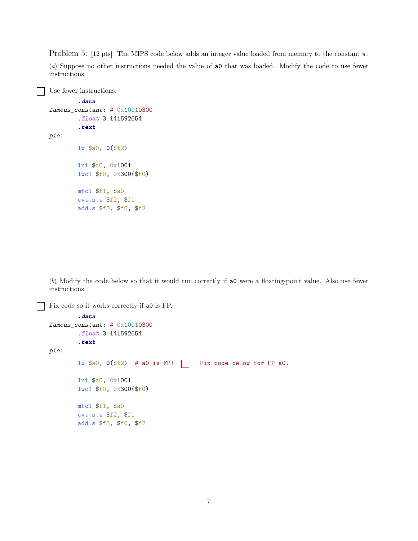Problem 5: [12 pts] The MIPS code below adds an integer value loaded from memory to the constant  $\pi$ .

(a) Suppose no other instructions needed the value of a0 that was loaded. Modify the code to use fewer instructions.

```
Use fewer instructions.
        .data
famous_constant: # 0x10010300
        .float 3.141592654
        .text
pie:
        lw $a0, 0($t2)
        lui $t0, 0x1001
        lwc1 $f0, 0x300($t0)
        mtc1 $f1, $a0
        cvt.s.w $f2, $f1
        add.s $f3, $f0, $f2
```
(b) Modify the code below so that it would run correctly if a0 were a floating-point value. Also use fewer instructions.

Fix code so it works correctly if a0 is FP.

```
.data
famous_constant: # 0x10010300
        .float 3.141592654
        .text
pie:
        lw $a0, 0 ($t2) # a0 is FP! \Box Fix code below for FP a0.
        lui $t0, 0x1001
        lwc1 $f0, 0x300($t0)
        mtc1 $f1, $a0
        cvt.s.w $f2, $f1
        add.s $f3, $f0, $f2
```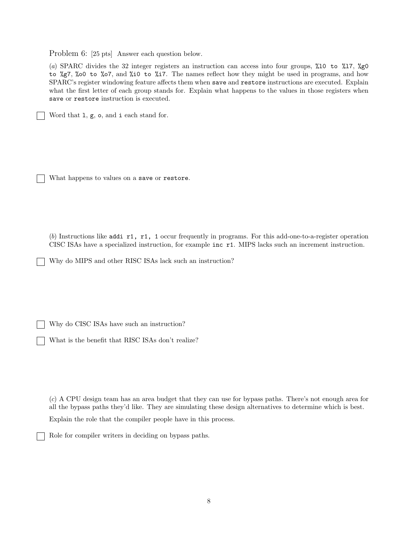Problem 6: [25 pts] Answer each question below.

(a) SPARC divides the 32 integer registers an instruction can access into four groups, %l0 to %l7, %g0 to %g7, %o0 to %o7, and %i0 to %i7. The names reflect how they might be used in programs, and how SPARC's register windowing feature affects them when save and restore instructions are executed. Explain what the first letter of each group stands for. Explain what happens to the values in those registers when save or restore instruction is executed.

Word that l, g, o, and i each stand for.

What happens to values on a save or restore.

(b) Instructions like addi r1, r1, 1 occur frequently in programs. For this add-one-to-a-register operation CISC ISAs have a specialized instruction, for example inc r1. MIPS lacks such an increment instruction.

Why do MIPS and other RISC ISAs lack such an instruction?

Why do CISC ISAs have such an instruction?

What is the benefit that RISC ISAs don't realize?

(c) A CPU design team has an area budget that they can use for bypass paths. There's not enough area for all the bypass paths they'd like. They are simulating these design alternatives to determine which is best.

Explain the role that the compiler people have in this process.

Role for compiler writers in deciding on bypass paths.